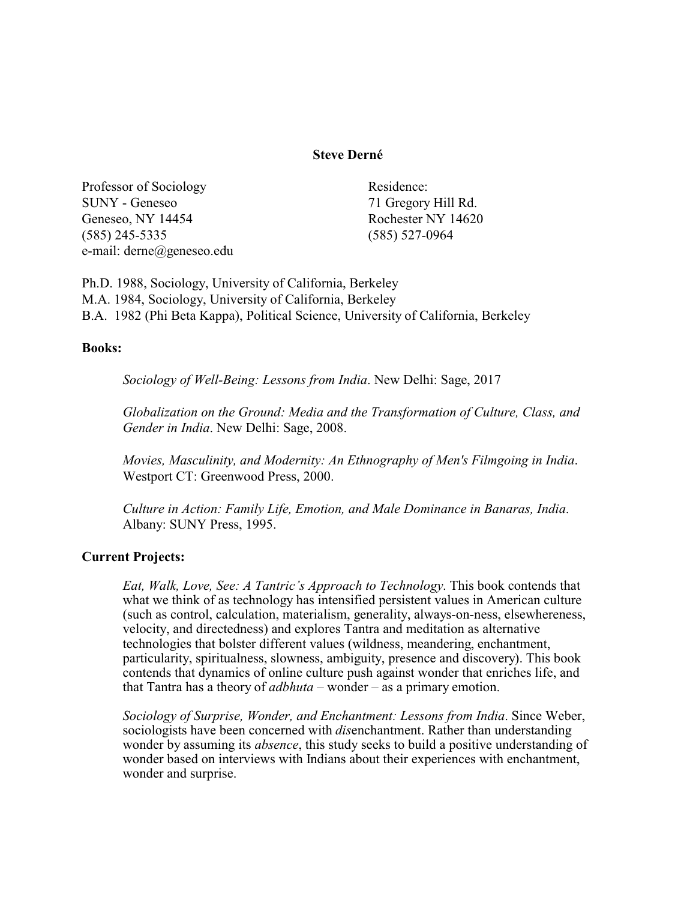# **Steve Derné**

Professor of Sociology Residence: SUNY - Geneseo 71 Gregory Hill Rd. Geneseo, NY 14454 Rochester NY 14620 (585) 245-5335 (585) 527-0964 e-mail: derne@geneseo.edu

Ph.D. 1988, Sociology, University of California, Berkeley M.A. 1984, Sociology, University of California, Berkeley B.A. 1982 (Phi Beta Kappa), Political Science, University of California, Berkeley

### **Books:**

*Sociology of Well-Being: Lessons from India*. New Delhi: Sage, 2017

*Globalization on the Ground: Media and the Transformation of Culture, Class, and Gender in India*. New Delhi: Sage, 2008.

*Movies, Masculinity, and Modernity: An Ethnography of Men's Filmgoing in India*. Westport CT: Greenwood Press, 2000.

*Culture in Action: Family Life, Emotion, and Male Dominance in Banaras, India*. Albany: SUNY Press, 1995.

# **Current Projects:**

*Eat, Walk, Love, See: A Tantric's Approach to Technology*. This book contends that what we think of as technology has intensified persistent values in American culture (such as control, calculation, materialism, generality, always-on-ness, elsewhereness, velocity, and directedness) and explores Tantra and meditation as alternative technologies that bolster different values (wildness, meandering, enchantment, particularity, spiritualness, slowness, ambiguity, presence and discovery). This book contends that dynamics of online culture push against wonder that enriches life, and that Tantra has a theory of *adbhuta* – wonder – as a primary emotion.

*Sociology of Surprise, Wonder, and Enchantment: Lessons from India*. Since Weber, sociologists have been concerned with *dis*enchantment. Rather than understanding wonder by assuming its *absence*, this study seeks to build a positive understanding of wonder based on interviews with Indians about their experiences with enchantment, wonder and surprise.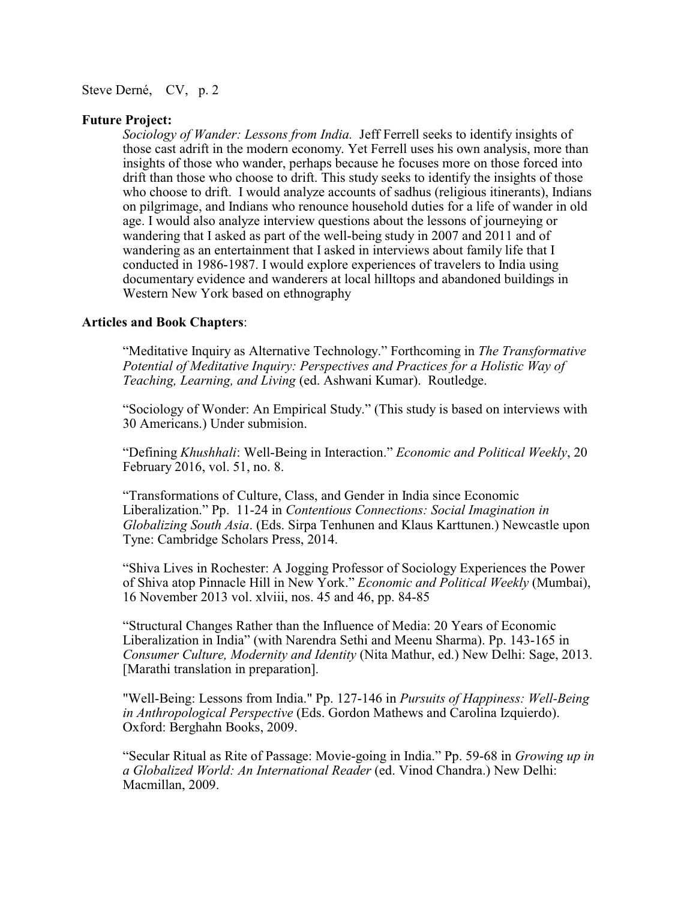#### **Future Project:**

*Sociology of Wander: Lessons from India.* Jeff Ferrell seeks to identify insights of those cast adrift in the modern economy. Yet Ferrell uses his own analysis, more than insights of those who wander, perhaps because he focuses more on those forced into drift than those who choose to drift. This study seeks to identify the insights of those who choose to drift. I would analyze accounts of sadhus (religious itinerants), Indians on pilgrimage, and Indians who renounce household duties for a life of wander in old age. I would also analyze interview questions about the lessons of journeying or wandering that I asked as part of the well-being study in 2007 and 2011 and of wandering as an entertainment that I asked in interviews about family life that I conducted in 1986-1987. I would explore experiences of travelers to India using documentary evidence and wanderers at local hilltops and abandoned buildings in Western New York based on ethnography

## **Articles and Book Chapters**:

"Meditative Inquiry as Alternative Technology." Forthcoming in *The Transformative Potential of Meditative Inquiry: Perspectives and Practices for a Holistic Way of Teaching, Learning, and Living* (ed. Ashwani Kumar). Routledge.

"Sociology of Wonder: An Empirical Study." (This study is based on interviews with 30 Americans.) Under submision.

"Defining *Khushhali*: Well-Being in Interaction." *Economic and Political Weekly*, 20 February 2016, vol. 51, no. 8.

"Transformations of Culture, Class, and Gender in India since Economic Liberalization." Pp. 11-24 in *Contentious Connections: Social Imagination in Globalizing South Asia*. (Eds. Sirpa Tenhunen and Klaus Karttunen.) Newcastle upon Tyne: Cambridge Scholars Press, 2014.

"Shiva Lives in Rochester: A Jogging Professor of Sociology Experiences the Power of Shiva atop Pinnacle Hill in New York." *Economic and Political Weekly* (Mumbai), 16 November 2013 vol. xlviii, nos. 45 and 46, pp. 84-85

"Structural Changes Rather than the Influence of Media: 20 Years of Economic Liberalization in India" (with Narendra Sethi and Meenu Sharma). Pp. 143-165 in *Consumer Culture, Modernity and Identity* (Nita Mathur, ed.) New Delhi: Sage, 2013. [Marathi translation in preparation].

"Well-Being: Lessons from India." Pp. 127-146 in *Pursuits of Happiness: Well-Being in Anthropological Perspective* (Eds. Gordon Mathews and Carolina Izquierdo). Oxford: Berghahn Books, 2009.

"Secular Ritual as Rite of Passage: Movie-going in India." Pp. 59-68 in *Growing up in a Globalized World: An International Reader* (ed. Vinod Chandra.) New Delhi: Macmillan, 2009.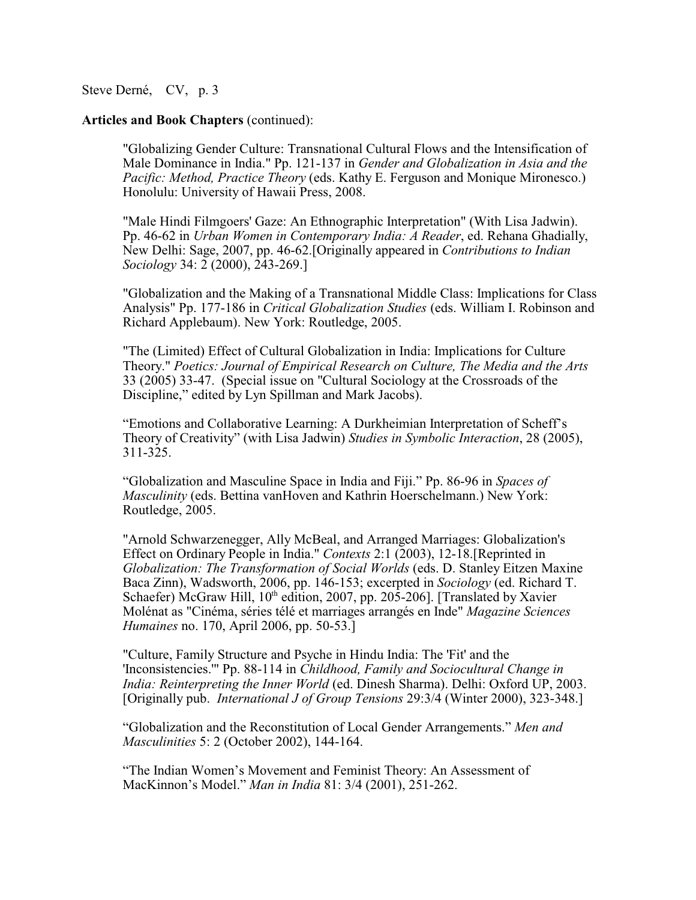### **Articles and Book Chapters** (continued):

"Globalizing Gender Culture: Transnational Cultural Flows and the Intensification of Male Dominance in India." Pp. 121-137 in *Gender and Globalization in Asia and the Pacific: Method, Practice Theory* (eds. Kathy E. Ferguson and Monique Mironesco.) Honolulu: University of Hawaii Press, 2008.

"Male Hindi Filmgoers' Gaze: An Ethnographic Interpretation" (With Lisa Jadwin). Pp. 46-62 in *Urban Women in Contemporary India: A Reader*, ed. Rehana Ghadially, New Delhi: Sage, 2007, pp. 46-62.[Originally appeared in *Contributions to Indian Sociology* 34: 2 (2000), 243-269.]

"Globalization and the Making of a Transnational Middle Class: Implications for Class Analysis" Pp. 177-186 in *Critical Globalization Studies* (eds. William I. Robinson and Richard Applebaum). New York: Routledge, 2005.

"The (Limited) Effect of Cultural Globalization in India: Implications for Culture Theory." *Poetics: Journal of Empirical Research on Culture, The Media and the Arts* 33 (2005) 33-47. (Special issue on "Cultural Sociology at the Crossroads of the Discipline," edited by Lyn Spillman and Mark Jacobs).

"Emotions and Collaborative Learning: A Durkheimian Interpretation of Scheff's Theory of Creativity" (with Lisa Jadwin) *Studies in Symbolic Interaction*, 28 (2005), 311-325.

"Globalization and Masculine Space in India and Fiji." Pp. 86-96 in *Spaces of Masculinity* (eds. Bettina vanHoven and Kathrin Hoerschelmann.) New York: Routledge, 2005.

"Arnold Schwarzenegger, Ally McBeal, and Arranged Marriages: Globalization's Effect on Ordinary People in India." *Contexts* 2:1 (2003), 12-18.[Reprinted in *Globalization: The Transformation of Social Worlds* (eds. D. Stanley Eitzen Maxine Baca Zinn), Wadsworth, 2006, pp. 146-153; excerpted in *Sociology* (ed. Richard T. Schaefer) McGraw Hill, 10<sup>th</sup> edition, 2007, pp. 205-206]. [Translated by Xavier Molénat as "Cinéma, séries télé et marriages arrangés en Inde" *Magazine Sciences Humaines* no. 170, April 2006, pp. 50-53.]

"Culture, Family Structure and Psyche in Hindu India: The 'Fit' and the 'Inconsistencies.'" Pp. 88-114 in *Childhood, Family and Sociocultural Change in India: Reinterpreting the Inner World* (ed. Dinesh Sharma). Delhi: Oxford UP, 2003. [Originally pub. *International J of Group Tensions* 29:3/4 (Winter 2000), 323-348.]

"Globalization and the Reconstitution of Local Gender Arrangements." *Men and Masculinities* 5: 2 (October 2002), 144-164.

"The Indian Women's Movement and Feminist Theory: An Assessment of MacKinnon's Model." *Man in India* 81: 3/4 (2001), 251-262.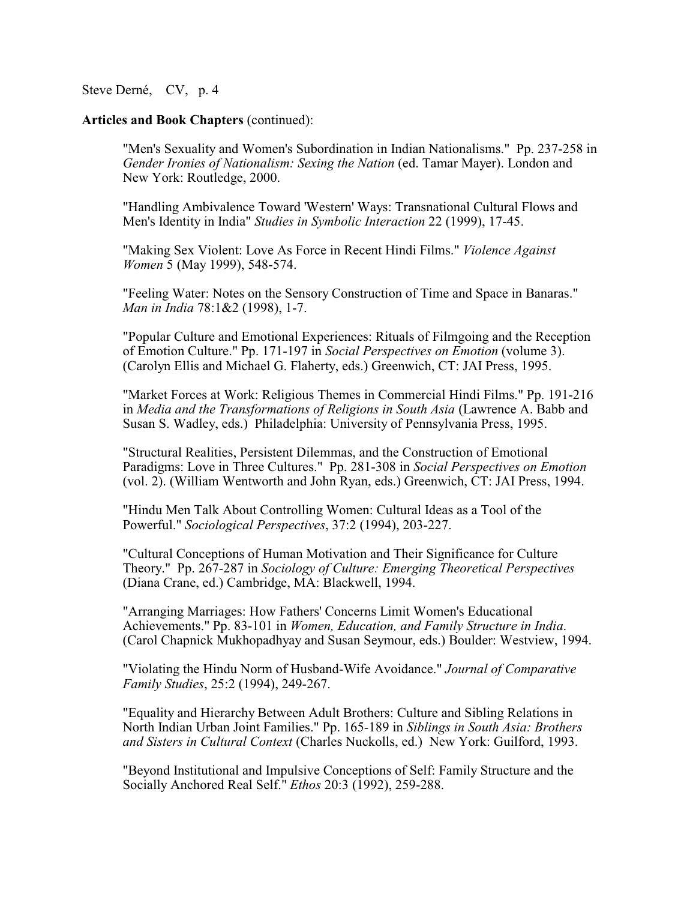### **Articles and Book Chapters** (continued):

"Men's Sexuality and Women's Subordination in Indian Nationalisms." Pp. 237-258 in *Gender Ironies of Nationalism: Sexing the Nation* (ed. Tamar Mayer). London and New York: Routledge, 2000.

"Handling Ambivalence Toward 'Western' Ways: Transnational Cultural Flows and Men's Identity in India" *Studies in Symbolic Interaction* 22 (1999), 17-45.

"Making Sex Violent: Love As Force in Recent Hindi Films." *Violence Against Women* 5 (May 1999), 548-574.

"Feeling Water: Notes on the Sensory Construction of Time and Space in Banaras." *Man in India* 78:1&2 (1998), 1-7.

"Popular Culture and Emotional Experiences: Rituals of Filmgoing and the Reception of Emotion Culture." Pp. 171-197 in *Social Perspectives on Emotion* (volume 3). (Carolyn Ellis and Michael G. Flaherty, eds.) Greenwich, CT: JAI Press, 1995.

"Market Forces at Work: Religious Themes in Commercial Hindi Films." Pp. 191-216 in *Media and the Transformations of Religions in South Asia* (Lawrence A. Babb and Susan S. Wadley, eds.) Philadelphia: University of Pennsylvania Press, 1995.

"Structural Realities, Persistent Dilemmas, and the Construction of Emotional Paradigms: Love in Three Cultures." Pp. 281-308 in *Social Perspectives on Emotion* (vol. 2). (William Wentworth and John Ryan, eds.) Greenwich, CT: JAI Press, 1994.

"Hindu Men Talk About Controlling Women: Cultural Ideas as a Tool of the Powerful." *Sociological Perspectives*, 37:2 (1994), 203-227.

"Cultural Conceptions of Human Motivation and Their Significance for Culture Theory." Pp. 267-287 in *Sociology of Culture: Emerging Theoretical Perspectives* (Diana Crane, ed.) Cambridge, MA: Blackwell, 1994.

"Arranging Marriages: How Fathers' Concerns Limit Women's Educational Achievements." Pp. 83-101 in *Women, Education, and Family Structure in India*. (Carol Chapnick Mukhopadhyay and Susan Seymour, eds.) Boulder: Westview, 1994.

"Violating the Hindu Norm of Husband-Wife Avoidance." *Journal of Comparative Family Studies*, 25:2 (1994), 249-267.

"Equality and Hierarchy Between Adult Brothers: Culture and Sibling Relations in North Indian Urban Joint Families." Pp. 165-189 in *Siblings in South Asia: Brothers and Sisters in Cultural Context* (Charles Nuckolls, ed.) New York: Guilford, 1993.

"Beyond Institutional and Impulsive Conceptions of Self: Family Structure and the Socially Anchored Real Self." *Ethos* 20:3 (1992), 259-288.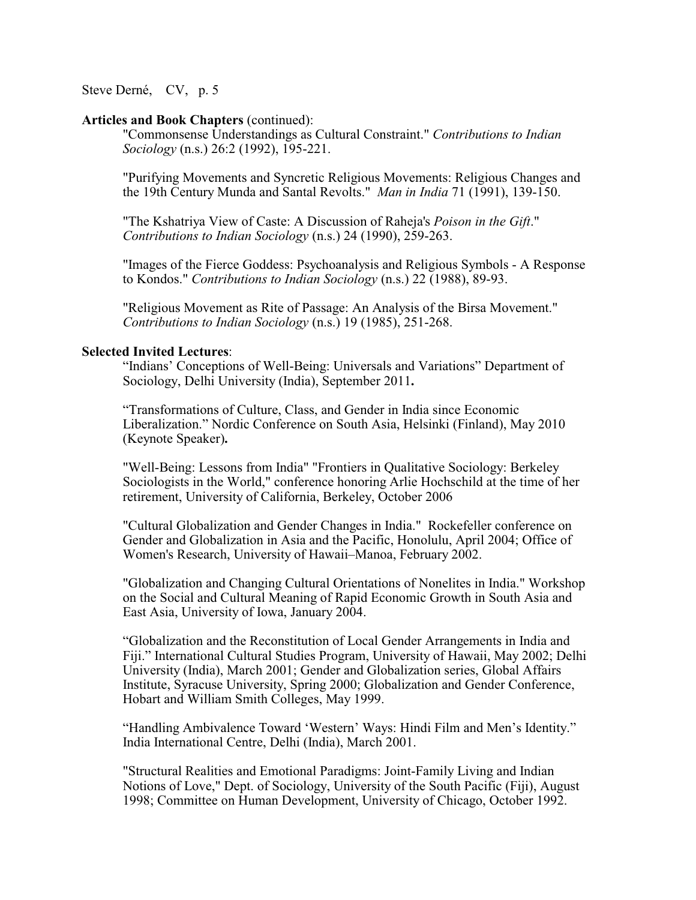#### **Articles and Book Chapters** (continued):

"Commonsense Understandings as Cultural Constraint." *Contributions to Indian Sociology* (n.s.) 26:2 (1992), 195-221.

"Purifying Movements and Syncretic Religious Movements: Religious Changes and the 19th Century Munda and Santal Revolts." *Man in India* 71 (1991), 139-150.

"The Kshatriya View of Caste: A Discussion of Raheja's *Poison in the Gift*." *Contributions to Indian Sociology* (n.s.) 24 (1990), 259-263.

"Images of the Fierce Goddess: Psychoanalysis and Religious Symbols - A Response to Kondos." *Contributions to Indian Sociology* (n.s.) 22 (1988), 89-93.

"Religious Movement as Rite of Passage: An Analysis of the Birsa Movement." *Contributions to Indian Sociology* (n.s.) 19 (1985), 251-268.

## **Selected Invited Lectures**:

"Indians' Conceptions of Well-Being: Universals and Variations" Department of Sociology, Delhi University (India), September 2011**.**

"Transformations of Culture, Class, and Gender in India since Economic Liberalization." Nordic Conference on South Asia, Helsinki (Finland), May 2010 (Keynote Speaker)**.**

"Well-Being: Lessons from India" "Frontiers in Qualitative Sociology: Berkeley Sociologists in the World," conference honoring Arlie Hochschild at the time of her retirement, University of California, Berkeley, October 2006

"Cultural Globalization and Gender Changes in India." Rockefeller conference on Gender and Globalization in Asia and the Pacific, Honolulu, April 2004; Office of Women's Research, University of Hawaii–Manoa, February 2002.

"Globalization and Changing Cultural Orientations of Nonelites in India." Workshop on the Social and Cultural Meaning of Rapid Economic Growth in South Asia and East Asia, University of Iowa, January 2004.

"Globalization and the Reconstitution of Local Gender Arrangements in India and Fiji." International Cultural Studies Program, University of Hawaii, May 2002; Delhi University (India), March 2001; Gender and Globalization series, Global Affairs Institute, Syracuse University, Spring 2000; Globalization and Gender Conference, Hobart and William Smith Colleges, May 1999.

"Handling Ambivalence Toward 'Western' Ways: Hindi Film and Men's Identity." India International Centre, Delhi (India), March 2001.

"Structural Realities and Emotional Paradigms: Joint-Family Living and Indian Notions of Love," Dept. of Sociology, University of the South Pacific (Fiji), August 1998; Committee on Human Development, University of Chicago, October 1992.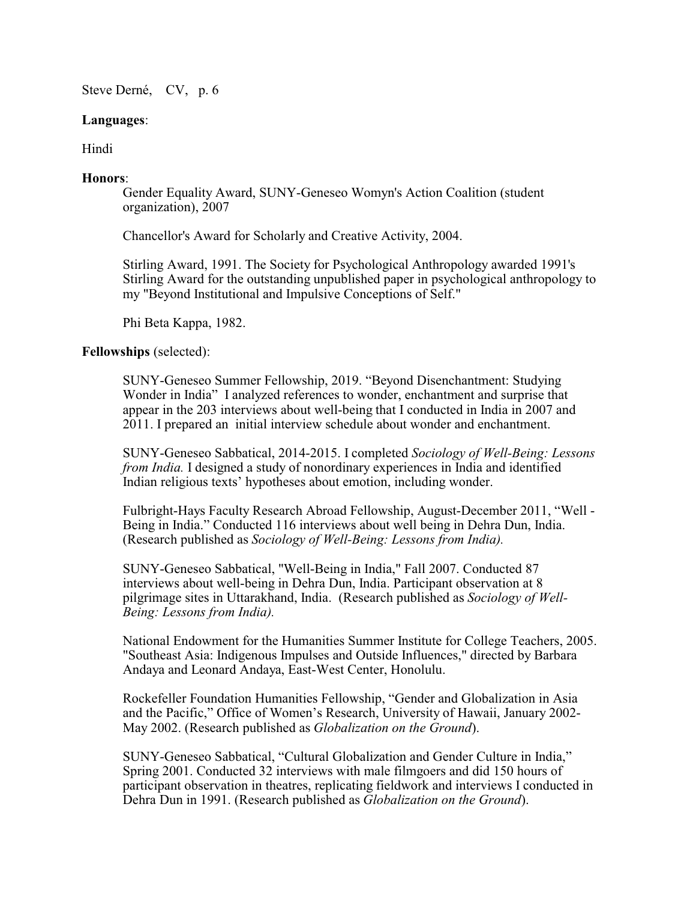# **Languages**:

Hindi

# **Honors**:

Gender Equality Award, SUNY-Geneseo Womyn's Action Coalition (student organization), 2007

Chancellor's Award for Scholarly and Creative Activity, 2004.

Stirling Award, 1991. The Society for Psychological Anthropology awarded 1991's Stirling Award for the outstanding unpublished paper in psychological anthropology to my "Beyond Institutional and Impulsive Conceptions of Self."

Phi Beta Kappa, 1982.

# **Fellowships** (selected):

SUNY-Geneseo Summer Fellowship, 2019. "Beyond Disenchantment: Studying Wonder in India" I analyzed references to wonder, enchantment and surprise that appear in the 203 interviews about well-being that I conducted in India in 2007 and 2011. I prepared an initial interview schedule about wonder and enchantment.

SUNY-Geneseo Sabbatical, 2014-2015. I completed *Sociology of Well-Being: Lessons from India.* I designed a study of nonordinary experiences in India and identified Indian religious texts' hypotheses about emotion, including wonder.

Fulbright-Hays Faculty Research Abroad Fellowship, August-December 2011, "Well - Being in India." Conducted 116 interviews about well being in Dehra Dun, India. (Research published as *Sociology of Well-Being: Lessons from India).*

SUNY-Geneseo Sabbatical, "Well-Being in India," Fall 2007. Conducted 87 interviews about well-being in Dehra Dun, India. Participant observation at 8 pilgrimage sites in Uttarakhand, India. (Research published as *Sociology of Well-Being: Lessons from India).*

National Endowment for the Humanities Summer Institute for College Teachers, 2005. "Southeast Asia: Indigenous Impulses and Outside Influences," directed by Barbara Andaya and Leonard Andaya, East-West Center, Honolulu.

Rockefeller Foundation Humanities Fellowship, "Gender and Globalization in Asia and the Pacific," Office of Women's Research, University of Hawaii, January 2002- May 2002. (Research published as *Globalization on the Ground*).

SUNY-Geneseo Sabbatical, "Cultural Globalization and Gender Culture in India," Spring 2001. Conducted 32 interviews with male filmgoers and did 150 hours of participant observation in theatres, replicating fieldwork and interviews I conducted in Dehra Dun in 1991. (Research published as *Globalization on the Ground*).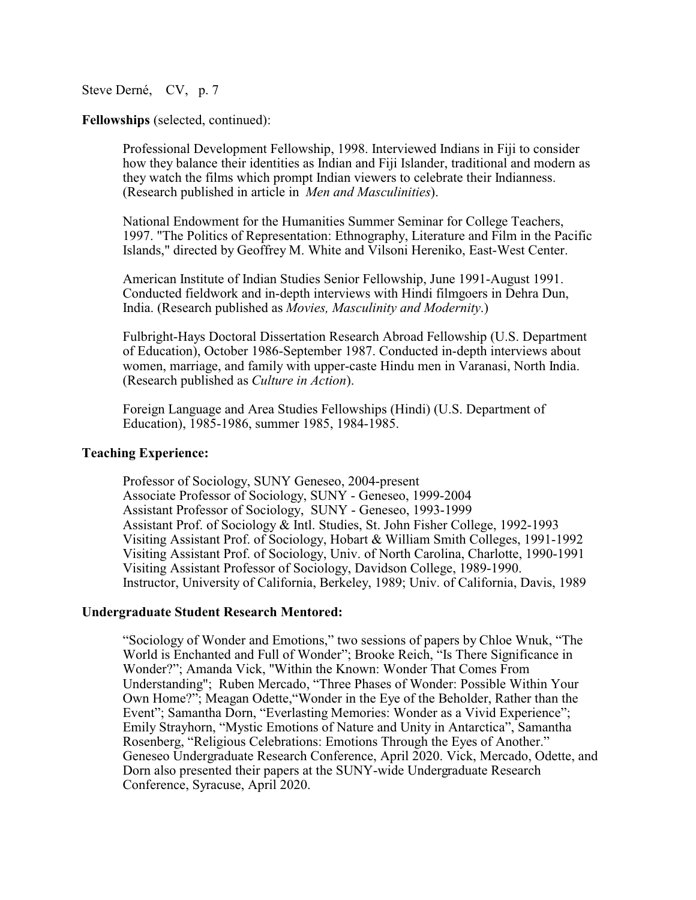**Fellowships** (selected, continued):

Professional Development Fellowship, 1998. Interviewed Indians in Fiji to consider how they balance their identities as Indian and Fiji Islander, traditional and modern as they watch the films which prompt Indian viewers to celebrate their Indianness. (Research published in article in *Men and Masculinities*).

National Endowment for the Humanities Summer Seminar for College Teachers, 1997. "The Politics of Representation: Ethnography, Literature and Film in the Pacific Islands," directed by Geoffrey M. White and Vilsoni Hereniko, East-West Center.

American Institute of Indian Studies Senior Fellowship, June 1991-August 1991. Conducted fieldwork and in-depth interviews with Hindi filmgoers in Dehra Dun, India. (Research published as *Movies, Masculinity and Modernity*.)

Fulbright-Hays Doctoral Dissertation Research Abroad Fellowship (U.S. Department of Education), October 1986-September 1987. Conducted in-depth interviews about women, marriage, and family with upper-caste Hindu men in Varanasi, North India. (Research published as *Culture in Action*).

Foreign Language and Area Studies Fellowships (Hindi) (U.S. Department of Education), 1985-1986, summer 1985, 1984-1985.

## **Teaching Experience:**

Professor of Sociology, SUNY Geneseo, 2004-present Associate Professor of Sociology, SUNY - Geneseo, 1999-2004 Assistant Professor of Sociology, SUNY - Geneseo, 1993-1999 Assistant Prof. of Sociology & Intl. Studies, St. John Fisher College, 1992-1993 Visiting Assistant Prof. of Sociology, Hobart & William Smith Colleges, 1991-1992 Visiting Assistant Prof. of Sociology, Univ. of North Carolina, Charlotte, 1990-1991 Visiting Assistant Professor of Sociology, Davidson College, 1989-1990. Instructor, University of California, Berkeley, 1989; Univ. of California, Davis, 1989

### **Undergraduate Student Research Mentored:**

"Sociology of Wonder and Emotions," two sessions of papers by Chloe Wnuk, "The World is Enchanted and Full of Wonder"; Brooke Reich, "Is There Significance in Wonder?"; Amanda Vick, "Within the Known: Wonder That Comes From Understanding"; Ruben Mercado, "Three Phases of Wonder: Possible Within Your Own Home?"; Meagan Odette,"Wonder in the Eye of the Beholder, Rather than the Event"; Samantha Dorn, "Everlasting Memories: Wonder as a Vivid Experience"; Emily Strayhorn, "Mystic Emotions of Nature and Unity in Antarctica", Samantha Rosenberg, "Religious Celebrations: Emotions Through the Eyes of Another." Geneseo Undergraduate Research Conference, April 2020. Vick, Mercado, Odette, and Dorn also presented their papers at the SUNY-wide Undergraduate Research Conference, Syracuse, April 2020.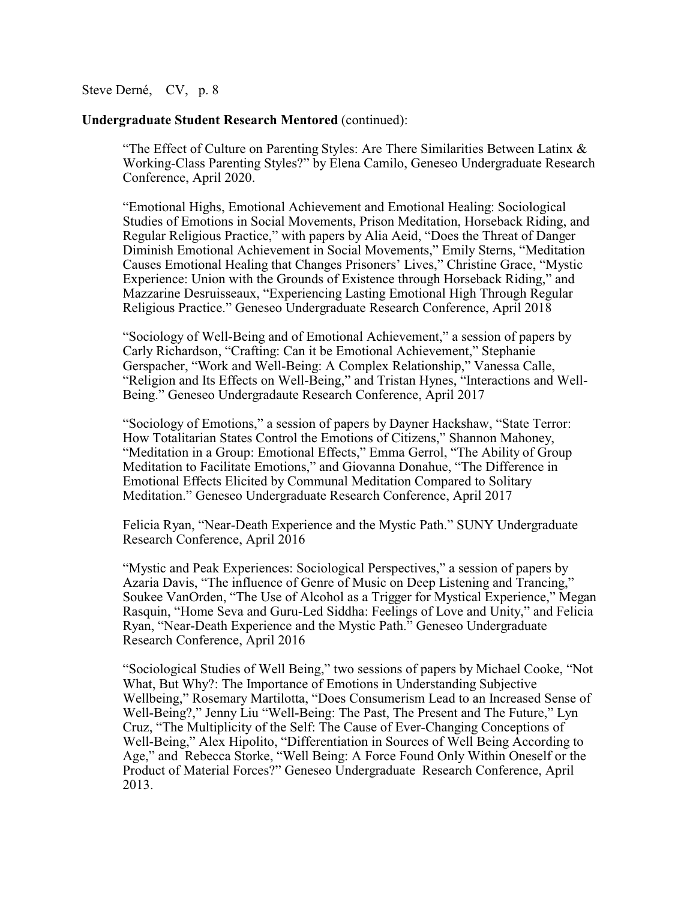### **Undergraduate Student Research Mentored** (continued):

"The Effect of Culture on Parenting Styles: Are There Similarities Between Latinx  $\&$ Working-Class Parenting Styles?" by Elena Camilo, Geneseo Undergraduate Research Conference, April 2020.

"Emotional Highs, Emotional Achievement and Emotional Healing: Sociological Studies of Emotions in Social Movements, Prison Meditation, Horseback Riding, and Regular Religious Practice," with papers by Alia Aeid, "Does the Threat of Danger Diminish Emotional Achievement in Social Movements," Emily Sterns, "Meditation Causes Emotional Healing that Changes Prisoners' Lives," Christine Grace, "Mystic Experience: Union with the Grounds of Existence through Horseback Riding," and Mazzarine Desruisseaux, "Experiencing Lasting Emotional High Through Regular Religious Practice." Geneseo Undergraduate Research Conference, April 2018

"Sociology of Well-Being and of Emotional Achievement," a session of papers by Carly Richardson, "Crafting: Can it be Emotional Achievement," Stephanie Gerspacher, "Work and Well-Being: A Complex Relationship," Vanessa Calle, "Religion and Its Effects on Well-Being," and Tristan Hynes, "Interactions and Well-Being." Geneseo Undergradaute Research Conference, April 2017

"Sociology of Emotions," a session of papers by Dayner Hackshaw, "State Terror: How Totalitarian States Control the Emotions of Citizens," Shannon Mahoney, "Meditation in a Group: Emotional Effects," Emma Gerrol, "The Ability of Group Meditation to Facilitate Emotions," and Giovanna Donahue, "The Difference in Emotional Effects Elicited by Communal Meditation Compared to Solitary Meditation." Geneseo Undergraduate Research Conference, April 2017

Felicia Ryan, "Near-Death Experience and the Mystic Path." SUNY Undergraduate Research Conference, April 2016

"Mystic and Peak Experiences: Sociological Perspectives," a session of papers by Azaria Davis, "The influence of Genre of Music on Deep Listening and Trancing," Soukee VanOrden, "The Use of Alcohol as a Trigger for Mystical Experience," Megan Rasquin, "Home Seva and Guru-Led Siddha: Feelings of Love and Unity," and Felicia Ryan, "Near-Death Experience and the Mystic Path." Geneseo Undergraduate Research Conference, April 2016

"Sociological Studies of Well Being," two sessions of papers by Michael Cooke, "Not What, But Why?: The Importance of Emotions in Understanding Subjective Wellbeing," Rosemary Martilotta, "Does Consumerism Lead to an Increased Sense of Well-Being?," Jenny Liu "Well-Being: The Past, The Present and The Future," Lyn Cruz, "The Multiplicity of the Self: The Cause of Ever-Changing Conceptions of Well-Being," Alex Hipolito, "Differentiation in Sources of Well Being According to Age," and Rebecca Storke, "Well Being: A Force Found Only Within Oneself or the Product of Material Forces?" Geneseo Undergraduate Research Conference, April 2013.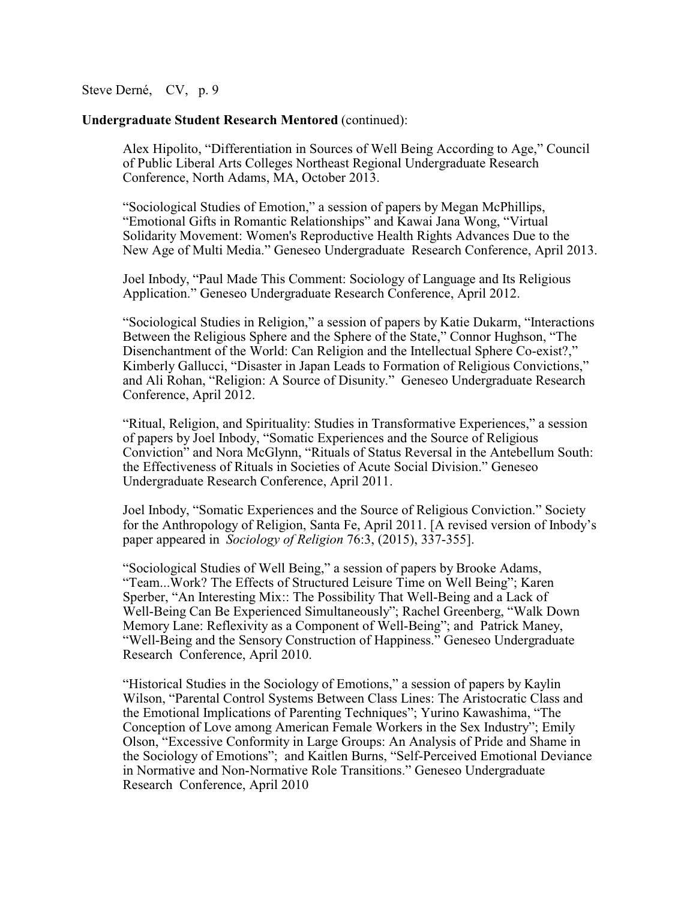### **Undergraduate Student Research Mentored** (continued):

Alex Hipolito, "Differentiation in Sources of Well Being According to Age," Council of Public Liberal Arts Colleges Northeast Regional Undergraduate Research Conference, North Adams, MA, October 2013.

"Sociological Studies of Emotion," a session of papers by Megan McPhillips, "Emotional Gifts in Romantic Relationships" and Kawai Jana Wong, "Virtual Solidarity Movement: Women's Reproductive Health Rights Advances Due to the New Age of Multi Media." Geneseo Undergraduate Research Conference, April 2013.

Joel Inbody, "Paul Made This Comment: Sociology of Language and Its Religious Application." Geneseo Undergraduate Research Conference, April 2012.

"Sociological Studies in Religion," a session of papers by Katie Dukarm, "Interactions Between the Religious Sphere and the Sphere of the State," Connor Hughson, "The Disenchantment of the World: Can Religion and the Intellectual Sphere Co-exist?," Kimberly Gallucci, "Disaster in Japan Leads to Formation of Religious Convictions," and Ali Rohan, "Religion: A Source of Disunity." Geneseo Undergraduate Research Conference, April 2012.

"Ritual, Religion, and Spirituality: Studies in Transformative Experiences," a session of papers by Joel Inbody, "Somatic Experiences and the Source of Religious Conviction" and Nora McGlynn, "Rituals of Status Reversal in the Antebellum South: the Effectiveness of Rituals in Societies of Acute Social Division." Geneseo Undergraduate Research Conference, April 2011.

Joel Inbody, "Somatic Experiences and the Source of Religious Conviction." Society for the Anthropology of Religion, Santa Fe, April 2011. [A revised version of Inbody's paper appeared in *Sociology of Religion* 76:3, (2015), 337-355].

"Sociological Studies of Well Being," a session of papers by Brooke Adams, "Team...Work? The Effects of Structured Leisure Time on Well Being"; Karen Sperber, "An Interesting Mix:: The Possibility That Well-Being and a Lack of Well-Being Can Be Experienced Simultaneously"; Rachel Greenberg, "Walk Down Memory Lane: Reflexivity as a Component of Well-Being"; and Patrick Maney, "Well-Being and the Sensory Construction of Happiness." Geneseo Undergraduate Research Conference, April 2010.

"Historical Studies in the Sociology of Emotions," a session of papers by Kaylin Wilson, "Parental Control Systems Between Class Lines: The Aristocratic Class and the Emotional Implications of Parenting Techniques"; Yurino Kawashima, "The Conception of Love among American Female Workers in the Sex Industry"; Emily Olson, "Excessive Conformity in Large Groups: An Analysis of Pride and Shame in the Sociology of Emotions"; and Kaitlen Burns, "Self-Perceived Emotional Deviance in Normative and Non-Normative Role Transitions." Geneseo Undergraduate Research Conference, April 2010